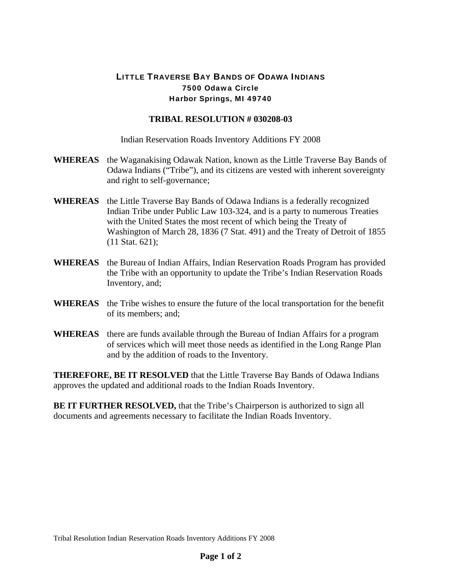## LITTLE TRAVERSE BAY BANDS OF ODAWA INDIANS 7500 Odawa Circle Harbor Springs, MI 49740

## **TRIBAL RESOLUTION # 030208-03**

Indian Reservation Roads Inventory Additions FY 2008

- **WHEREAS** the Waganakising Odawak Nation, known as the Little Traverse Bay Bands of Odawa Indians ("Tribe"), and its citizens are vested with inherent sovereignty and right to self-governance;
- **WHEREAS** the Little Traverse Bay Bands of Odawa Indians is a federally recognized Indian Tribe under Public Law 103-324, and is a party to numerous Treaties with the United States the most recent of which being the Treaty of Washington of March 28, 1836 (7 Stat. 491) and the Treaty of Detroit of 1855 (11 Stat. 621);
- **WHEREAS** the Bureau of Indian Affairs, Indian Reservation Roads Program has provided the Tribe with an opportunity to update the Tribe's Indian Reservation Roads Inventory, and;
- **WHEREAS** the Tribe wishes to ensure the future of the local transportation for the benefit of its members; and;
- **WHEREAS** there are funds available through the Bureau of Indian Affairs for a program of services which will meet those needs as identified in the Long Range Plan and by the addition of roads to the Inventory.

**THEREFORE, BE IT RESOLVED** that the Little Traverse Bay Bands of Odawa Indians approves the updated and additional roads to the Indian Roads Inventory.

**BE IT FURTHER RESOLVED, that the Tribe's Chairperson is authorized to sign all** documents and agreements necessary to facilitate the Indian Roads Inventory.